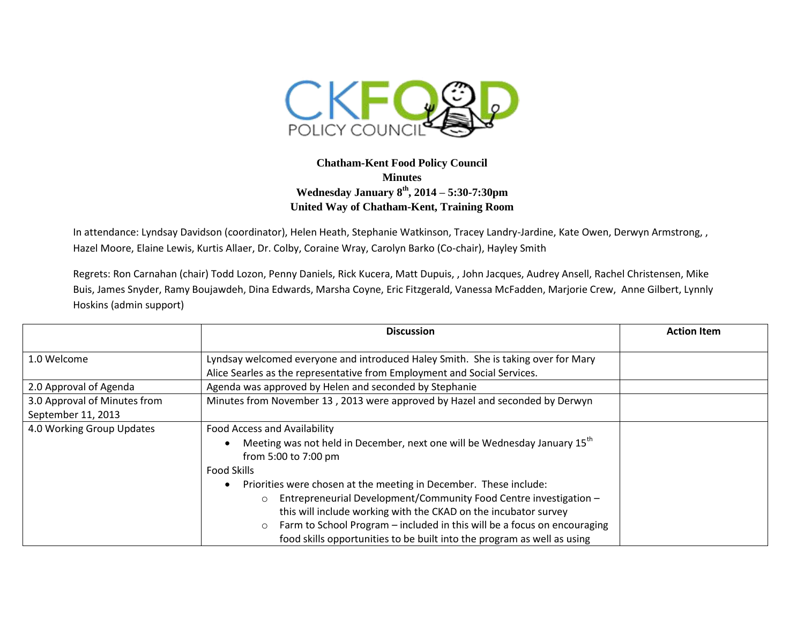

## **Chatham-Kent Food Policy Council Minutes Wednesday January 8 th, 2014 – 5:30-7:30pm United Way of Chatham-Kent, Training Room**

In attendance: Lyndsay Davidson (coordinator), Helen Heath, Stephanie Watkinson, Tracey Landry-Jardine, Kate Owen, Derwyn Armstrong, , Hazel Moore, Elaine Lewis, Kurtis Allaer, Dr. Colby, Coraine Wray, Carolyn Barko (Co-chair), Hayley Smith

Regrets: Ron Carnahan (chair) Todd Lozon, Penny Daniels, Rick Kucera, Matt Dupuis, , John Jacques, Audrey Ansell, Rachel Christensen, Mike Buis, James Snyder, Ramy Boujawdeh, Dina Edwards, Marsha Coyne, Eric Fitzgerald, Vanessa McFadden, Marjorie Crew, Anne Gilbert, Lynnly Hoskins (admin support)

|                                                    | <b>Discussion</b>                                                                                                                                                                                                                                                                                                                                                                                                                                                                                                                                                         | <b>Action Item</b> |
|----------------------------------------------------|---------------------------------------------------------------------------------------------------------------------------------------------------------------------------------------------------------------------------------------------------------------------------------------------------------------------------------------------------------------------------------------------------------------------------------------------------------------------------------------------------------------------------------------------------------------------------|--------------------|
| 1.0 Welcome                                        | Lyndsay welcomed everyone and introduced Haley Smith. She is taking over for Mary<br>Alice Searles as the representative from Employment and Social Services.                                                                                                                                                                                                                                                                                                                                                                                                             |                    |
| 2.0 Approval of Agenda                             | Agenda was approved by Helen and seconded by Stephanie                                                                                                                                                                                                                                                                                                                                                                                                                                                                                                                    |                    |
| 3.0 Approval of Minutes from<br>September 11, 2013 | Minutes from November 13, 2013 were approved by Hazel and seconded by Derwyn                                                                                                                                                                                                                                                                                                                                                                                                                                                                                              |                    |
| 4.0 Working Group Updates                          | <b>Food Access and Availability</b><br>Meeting was not held in December, next one will be Wednesday January 15 <sup>th</sup><br>from 5:00 to 7:00 pm<br><b>Food Skills</b><br>Priorities were chosen at the meeting in December. These include:<br>٠<br>Entrepreneurial Development/Community Food Centre investigation -<br>$\circ$<br>this will include working with the CKAD on the incubator survey<br>Farm to School Program – included in this will be a focus on encouraging<br>$\circ$<br>food skills opportunities to be built into the program as well as using |                    |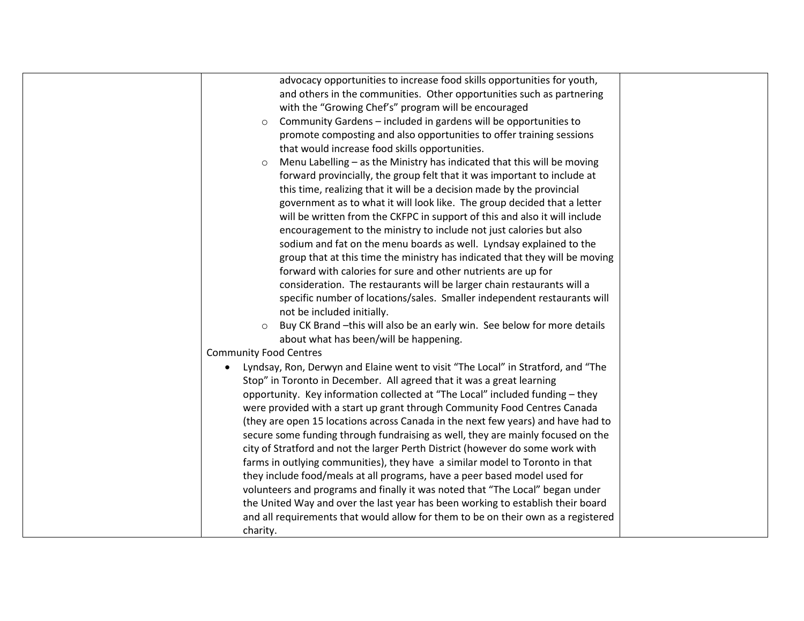| advocacy opportunities to increase food skills opportunities for youth,                       |  |
|-----------------------------------------------------------------------------------------------|--|
| and others in the communities. Other opportunities such as partnering                         |  |
| with the "Growing Chef's" program will be encouraged                                          |  |
| Community Gardens - included in gardens will be opportunities to<br>$\circ$                   |  |
| promote composting and also opportunities to offer training sessions                          |  |
| that would increase food skills opportunities.                                                |  |
| Menu Labelling - as the Ministry has indicated that this will be moving<br>$\circ$            |  |
| forward provincially, the group felt that it was important to include at                      |  |
| this time, realizing that it will be a decision made by the provincial                        |  |
| government as to what it will look like. The group decided that a letter                      |  |
| will be written from the CKFPC in support of this and also it will include                    |  |
| encouragement to the ministry to include not just calories but also                           |  |
| sodium and fat on the menu boards as well. Lyndsay explained to the                           |  |
| group that at this time the ministry has indicated that they will be moving                   |  |
| forward with calories for sure and other nutrients are up for                                 |  |
| consideration. The restaurants will be larger chain restaurants will a                        |  |
| specific number of locations/sales. Smaller independent restaurants will                      |  |
| not be included initially.                                                                    |  |
| Buy CK Brand -this will also be an early win. See below for more details<br>$\circ$           |  |
| about what has been/will be happening.                                                        |  |
| <b>Community Food Centres</b>                                                                 |  |
| Lyndsay, Ron, Derwyn and Elaine went to visit "The Local" in Stratford, and "The<br>$\bullet$ |  |
| Stop" in Toronto in December. All agreed that it was a great learning                         |  |
| opportunity. Key information collected at "The Local" included funding - they                 |  |
| were provided with a start up grant through Community Food Centres Canada                     |  |
| (they are open 15 locations across Canada in the next few years) and have had to              |  |
| secure some funding through fundraising as well, they are mainly focused on the               |  |
| city of Stratford and not the larger Perth District (however do some work with                |  |
| farms in outlying communities), they have a similar model to Toronto in that                  |  |
| they include food/meals at all programs, have a peer based model used for                     |  |
| volunteers and programs and finally it was noted that "The Local" began under                 |  |
| the United Way and over the last year has been working to establish their board               |  |
| and all requirements that would allow for them to be on their own as a registered             |  |
| charity.                                                                                      |  |
|                                                                                               |  |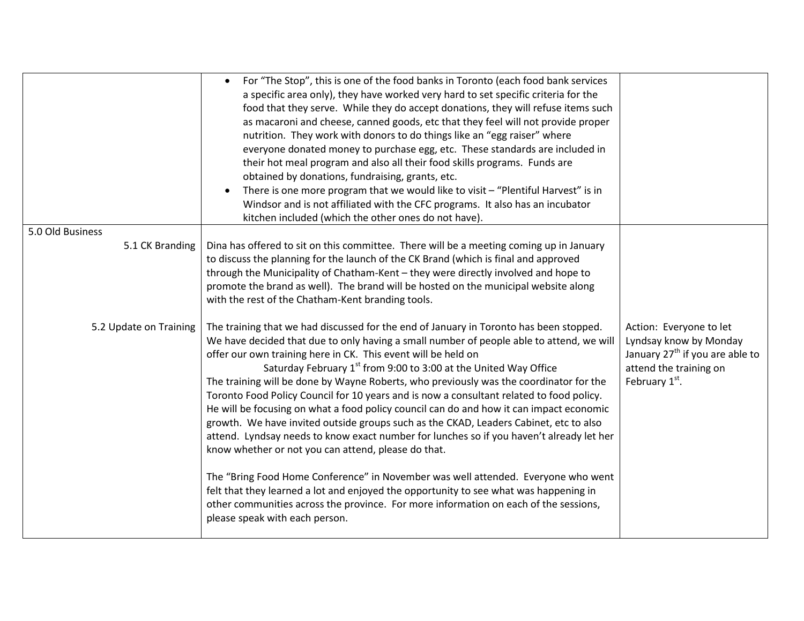|                        | For "The Stop", this is one of the food banks in Toronto (each food bank services<br>$\bullet$                                                                                    |                                             |
|------------------------|-----------------------------------------------------------------------------------------------------------------------------------------------------------------------------------|---------------------------------------------|
|                        | a specific area only), they have worked very hard to set specific criteria for the                                                                                                |                                             |
|                        | food that they serve. While they do accept donations, they will refuse items such                                                                                                 |                                             |
|                        | as macaroni and cheese, canned goods, etc that they feel will not provide proper<br>nutrition. They work with donors to do things like an "egg raiser" where                      |                                             |
|                        | everyone donated money to purchase egg, etc. These standards are included in                                                                                                      |                                             |
|                        | their hot meal program and also all their food skills programs. Funds are                                                                                                         |                                             |
|                        | obtained by donations, fundraising, grants, etc.                                                                                                                                  |                                             |
|                        | There is one more program that we would like to visit - "Plentiful Harvest" is in<br>$\bullet$                                                                                    |                                             |
|                        | Windsor and is not affiliated with the CFC programs. It also has an incubator                                                                                                     |                                             |
|                        | kitchen included (which the other ones do not have).                                                                                                                              |                                             |
| 5.0 Old Business       |                                                                                                                                                                                   |                                             |
| 5.1 CK Branding        | Dina has offered to sit on this committee. There will be a meeting coming up in January                                                                                           |                                             |
|                        | to discuss the planning for the launch of the CK Brand (which is final and approved                                                                                               |                                             |
|                        | through the Municipality of Chatham-Kent - they were directly involved and hope to                                                                                                |                                             |
|                        | promote the brand as well). The brand will be hosted on the municipal website along<br>with the rest of the Chatham-Kent branding tools.                                          |                                             |
|                        |                                                                                                                                                                                   |                                             |
| 5.2 Update on Training | The training that we had discussed for the end of January in Toronto has been stopped.                                                                                            | Action: Everyone to let                     |
|                        | We have decided that due to only having a small number of people able to attend, we will                                                                                          | Lyndsay know by Monday                      |
|                        | offer our own training here in CK. This event will be held on                                                                                                                     | January 27 <sup>th</sup> if you are able to |
|                        | Saturday February 1 <sup>st</sup> from 9:00 to 3:00 at the United Way Office                                                                                                      | attend the training on                      |
|                        | The training will be done by Wayne Roberts, who previously was the coordinator for the                                                                                            | February 1st.                               |
|                        | Toronto Food Policy Council for 10 years and is now a consultant related to food policy.                                                                                          |                                             |
|                        | He will be focusing on what a food policy council can do and how it can impact economic                                                                                           |                                             |
|                        | growth. We have invited outside groups such as the CKAD, Leaders Cabinet, etc to also<br>attend. Lyndsay needs to know exact number for lunches so if you haven't already let her |                                             |
|                        | know whether or not you can attend, please do that.                                                                                                                               |                                             |
|                        |                                                                                                                                                                                   |                                             |
|                        | The "Bring Food Home Conference" in November was well attended. Everyone who went                                                                                                 |                                             |
|                        | felt that they learned a lot and enjoyed the opportunity to see what was happening in                                                                                             |                                             |
|                        | other communities across the province. For more information on each of the sessions,                                                                                              |                                             |
|                        | please speak with each person.                                                                                                                                                    |                                             |
|                        |                                                                                                                                                                                   |                                             |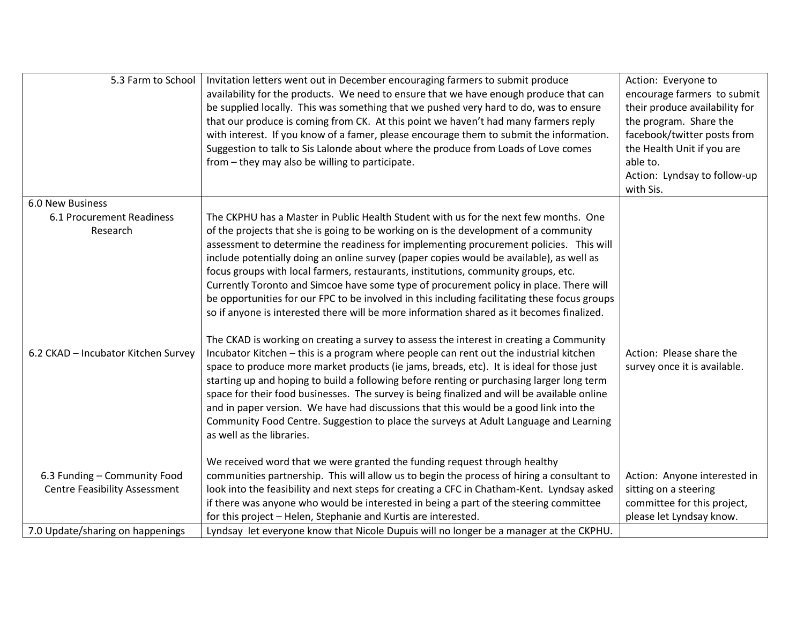| 5.3 Farm to School                                                           | Invitation letters went out in December encouraging farmers to submit produce<br>availability for the products. We need to ensure that we have enough produce that can<br>be supplied locally. This was something that we pushed very hard to do, was to ensure<br>that our produce is coming from CK. At this point we haven't had many farmers reply<br>with interest. If you know of a famer, please encourage them to submit the information.<br>Suggestion to talk to Sis Lalonde about where the produce from Loads of Love comes<br>from - they may also be willing to participate.                                                                                                                                                                                                                                                                                                                                                                                                                                                                                                                                                                                                                                                                                                                                                                                                                                                   | Action: Everyone to<br>encourage farmers to submit<br>their produce availability for<br>the program. Share the<br>facebook/twitter posts from<br>the Health Unit if you are<br>able to.<br>Action: Lyndsay to follow-up<br>with Sis. |
|------------------------------------------------------------------------------|----------------------------------------------------------------------------------------------------------------------------------------------------------------------------------------------------------------------------------------------------------------------------------------------------------------------------------------------------------------------------------------------------------------------------------------------------------------------------------------------------------------------------------------------------------------------------------------------------------------------------------------------------------------------------------------------------------------------------------------------------------------------------------------------------------------------------------------------------------------------------------------------------------------------------------------------------------------------------------------------------------------------------------------------------------------------------------------------------------------------------------------------------------------------------------------------------------------------------------------------------------------------------------------------------------------------------------------------------------------------------------------------------------------------------------------------|--------------------------------------------------------------------------------------------------------------------------------------------------------------------------------------------------------------------------------------|
| 6.0 New Business                                                             |                                                                                                                                                                                                                                                                                                                                                                                                                                                                                                                                                                                                                                                                                                                                                                                                                                                                                                                                                                                                                                                                                                                                                                                                                                                                                                                                                                                                                                              |                                                                                                                                                                                                                                      |
| 6.1 Procurement Readiness<br>Research<br>6.2 CKAD - Incubator Kitchen Survey | The CKPHU has a Master in Public Health Student with us for the next few months. One<br>of the projects that she is going to be working on is the development of a community<br>assessment to determine the readiness for implementing procurement policies. This will<br>include potentially doing an online survey (paper copies would be available), as well as<br>focus groups with local farmers, restaurants, institutions, community groups, etc.<br>Currently Toronto and Simcoe have some type of procurement policy in place. There will<br>be opportunities for our FPC to be involved in this including facilitating these focus groups<br>so if anyone is interested there will be more information shared as it becomes finalized.<br>The CKAD is working on creating a survey to assess the interest in creating a Community<br>Incubator Kitchen - this is a program where people can rent out the industrial kitchen<br>space to produce more market products (ie jams, breads, etc). It is ideal for those just<br>starting up and hoping to build a following before renting or purchasing larger long term<br>space for their food businesses. The survey is being finalized and will be available online<br>and in paper version. We have had discussions that this would be a good link into the<br>Community Food Centre. Suggestion to place the surveys at Adult Language and Learning<br>as well as the libraries. | Action: Please share the<br>survey once it is available.                                                                                                                                                                             |
|                                                                              | We received word that we were granted the funding request through healthy                                                                                                                                                                                                                                                                                                                                                                                                                                                                                                                                                                                                                                                                                                                                                                                                                                                                                                                                                                                                                                                                                                                                                                                                                                                                                                                                                                    |                                                                                                                                                                                                                                      |
| 6.3 Funding - Community Food<br><b>Centre Feasibility Assessment</b>         | communities partnership. This will allow us to begin the process of hiring a consultant to<br>look into the feasibility and next steps for creating a CFC in Chatham-Kent. Lyndsay asked                                                                                                                                                                                                                                                                                                                                                                                                                                                                                                                                                                                                                                                                                                                                                                                                                                                                                                                                                                                                                                                                                                                                                                                                                                                     | Action: Anyone interested in<br>sitting on a steering                                                                                                                                                                                |
|                                                                              | if there was anyone who would be interested in being a part of the steering committee<br>for this project - Helen, Stephanie and Kurtis are interested.                                                                                                                                                                                                                                                                                                                                                                                                                                                                                                                                                                                                                                                                                                                                                                                                                                                                                                                                                                                                                                                                                                                                                                                                                                                                                      | committee for this project,<br>please let Lyndsay know.                                                                                                                                                                              |
| 7.0 Update/sharing on happenings                                             | Lyndsay let everyone know that Nicole Dupuis will no longer be a manager at the CKPHU.                                                                                                                                                                                                                                                                                                                                                                                                                                                                                                                                                                                                                                                                                                                                                                                                                                                                                                                                                                                                                                                                                                                                                                                                                                                                                                                                                       |                                                                                                                                                                                                                                      |